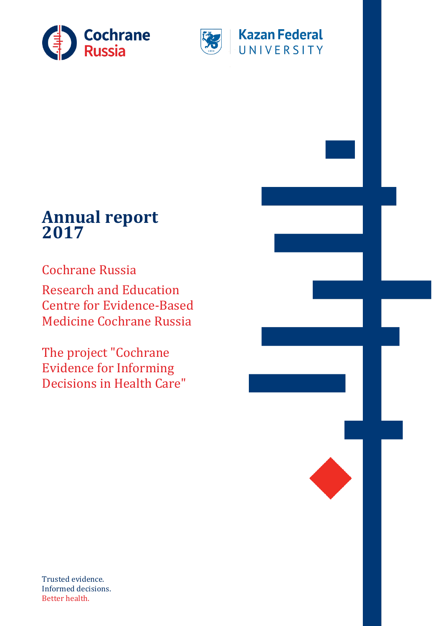



### **Kazan Federal** UNIVERSITY

### **Annual report 2017**

Cochrane Russia Research and Education Centre for Evidence-Based Medicine Cochrane Russia

The project "Cochrane Evidence for Informing Decisions in Health Care"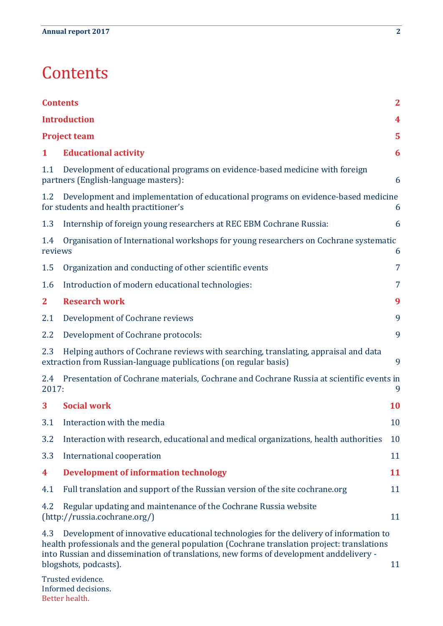### <span id="page-1-0"></span>**Contents**

|                | $\mathbf{2}$<br><b>Contents</b>                                                                                                                                                                                                                                                                         |           |  |  |  |
|----------------|---------------------------------------------------------------------------------------------------------------------------------------------------------------------------------------------------------------------------------------------------------------------------------------------------------|-----------|--|--|--|
|                | <b>Introduction</b><br>4                                                                                                                                                                                                                                                                                |           |  |  |  |
|                | <b>Project team</b>                                                                                                                                                                                                                                                                                     | 5         |  |  |  |
| 1              | <b>Educational activity</b>                                                                                                                                                                                                                                                                             | 6         |  |  |  |
| 1.1            | Development of educational programs on evidence-based medicine with foreign<br>partners (English-language masters):                                                                                                                                                                                     | 6         |  |  |  |
| 1.2            | Development and implementation of educational programs on evidence-based medicine<br>for students and health practitioner's                                                                                                                                                                             | 6         |  |  |  |
| 1.3            | Internship of foreign young researchers at REC EBM Cochrane Russia:                                                                                                                                                                                                                                     | 6         |  |  |  |
| 1.4<br>reviews | Organisation of International workshops for young researchers on Cochrane systematic                                                                                                                                                                                                                    | 6         |  |  |  |
| 1.5            | Organization and conducting of other scientific events                                                                                                                                                                                                                                                  | 7         |  |  |  |
| 1.6            | Introduction of modern educational technologies:                                                                                                                                                                                                                                                        | 7         |  |  |  |
| $\mathbf{2}$   | <b>Research work</b>                                                                                                                                                                                                                                                                                    | 9         |  |  |  |
| 2.1            | Development of Cochrane reviews                                                                                                                                                                                                                                                                         | 9         |  |  |  |
| 2.2            | Development of Cochrane protocols:                                                                                                                                                                                                                                                                      | 9         |  |  |  |
| 2.3            | Helping authors of Cochrane reviews with searching, translating, appraisal and data<br>extraction from Russian-language publications (on regular basis)                                                                                                                                                 | 9         |  |  |  |
| 2.4<br>2017:   | Presentation of Cochrane materials, Cochrane and Cochrane Russia at scientific events in                                                                                                                                                                                                                | 9         |  |  |  |
| 3              | <b>Social work</b>                                                                                                                                                                                                                                                                                      | <b>10</b> |  |  |  |
| 3.1            | Interaction with the media                                                                                                                                                                                                                                                                              | 10        |  |  |  |
| 3.2            | Interaction with research, educational and medical organizations, health authorities                                                                                                                                                                                                                    | 10        |  |  |  |
| 3.3            | International cooperation                                                                                                                                                                                                                                                                               | 11        |  |  |  |
| 4              | <b>Development of information technology</b>                                                                                                                                                                                                                                                            | 11        |  |  |  |
| 4.1            | Full translation and support of the Russian version of the site cochrane.org                                                                                                                                                                                                                            | 11        |  |  |  |
| 4.2            | Regular updating and maintenance of the Cochrane Russia website<br>(http://russia.cochrane.org/)                                                                                                                                                                                                        | 11        |  |  |  |
| 4.3            | Development of innovative educational technologies for the delivery of information to<br>health professionals and the general population (Cochrane translation project: translations<br>into Russian and dissemination of translations, new forms of development anddelivery -<br>blogshots, podcasts). | 11        |  |  |  |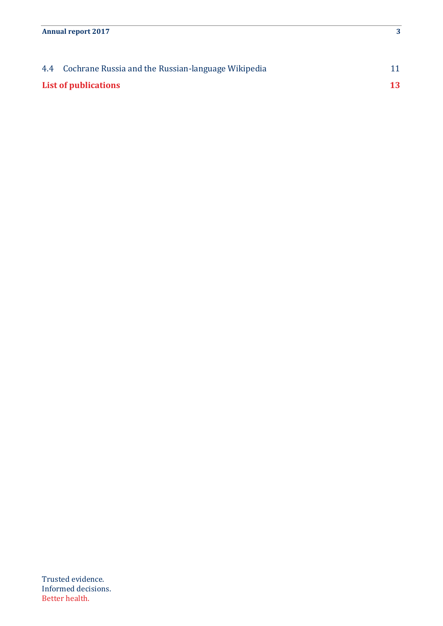| 4.4 Cochrane Russia and the Russian-language Wikipedia |    |
|--------------------------------------------------------|----|
| List of publications                                   | 13 |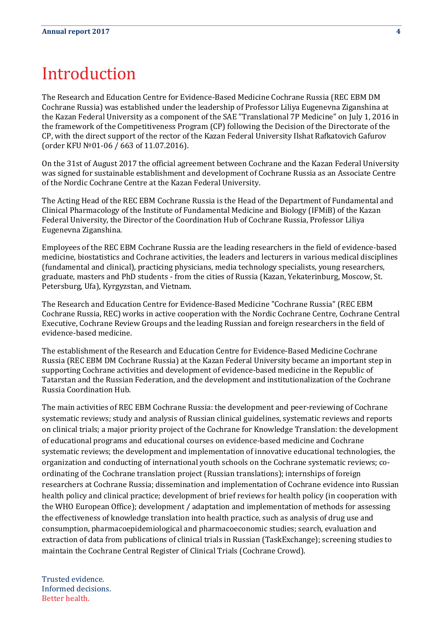### <span id="page-3-0"></span>Introduction

The Research and Education Centre for Evidence-Based Medicine Cochrane Russia (REC EBM DM Cochrane Russia) was established under the leadership of Professor Liliya Eugenevna Ziganshina at the Kazan Federal University as a component of the SAE "Translational 7P Medicine" on July 1, 2016 in the framework of the Competitiveness Program (CP) following the Decision of the Directorate of the CP, with the direct support of the rector of the Kazan Federal University Ilshat Rafkatovich Gafurov (order KFU №01-06 / 663 of 11.07.2016).

On the 31st of August 2017 the official agreement between Cochrane and the Kazan Federal University was signed for sustainable establishment and development of Cochrane Russia as an Associate Centre of the Nordic Cochrane Centre at the Kazan Federal University.

The Acting Head of the REC EBM Cochrane Russia is the Head of the Department of Fundamental and Clinical Pharmacology of the Institute of Fundamental Medicine and Biology (IFMiB) of the Kazan Federal University, the Director of the Coordination Hub of Cochrane Russia, Professor Liliya Eugenevna Ziganshina.

Employees of the REC EBM Cochrane Russia are the leading researchers in the field of evidence-based medicine, biostatistics and Cochrane activities, the leaders and lecturers in various medical disciplines (fundamental and clinical), practicing physicians, media technology specialists, young researchers, graduate, masters and PhD students - from the cities of Russia (Kazan, Yekaterinburg, Moscow, St. Petersburg, Ufa), Kyrgyzstan, and Vietnam.

The Research and Education Centre for Evidence-Based Medicine "Cochrane Russia" (REC EBM Cochrane Russia, REC) works in active cooperation with the Nordic Cochrane Centre, Cochrane Central Executive, Cochrane Review Groups and the leading Russian and foreign researchers in the field of evidence-based medicine.

The establishment of the Research and Education Centre for Evidence-Based Medicine Cochrane Russia (REC EBM DM Cochrane Russia) at the Kazan Federal University became an important step in supporting Cochrane activities and development of evidence-based medicine in the Republic of Tatarstan and the Russian Federation, and the development and institutionalization of the Cochrane Russia Coordination Hub.

The main activities of REC EBM Cochrane Russia: the development and peer-reviewing of Cochrane systematic reviews; study and analysis of Russian clinical guidelines, systematic reviews and reports on clinical trials; a major priority project of the Cochrane for Knowledge Translation: the development of educational programs and educational courses on evidence-based medicine and Cochrane systematic reviews; the development and implementation of innovative educational technologies, the organization and conducting of international youth schools on the Cochrane systematic reviews; coordinating of the Cochrane translation project (Russian translations); internships of foreign researchers at Cochrane Russia; dissemination and implementation of Cochrane evidence into Russian health policy and clinical practice; development of brief reviews for health policy (in cooperation with the WHO European Office); development / adaptation and implementation of methods for assessing the effectiveness of knowledge translation into health practice, such as analysis of drug use and consumption, pharmacoepidemiological and pharmacoeconomic studies; search, evaluation and extraction of data from publications of clinical trials in Russian (TaskExchange); screening studies to maintain the Cochrane Central Register of Clinical Trials (Cochrane Crowd).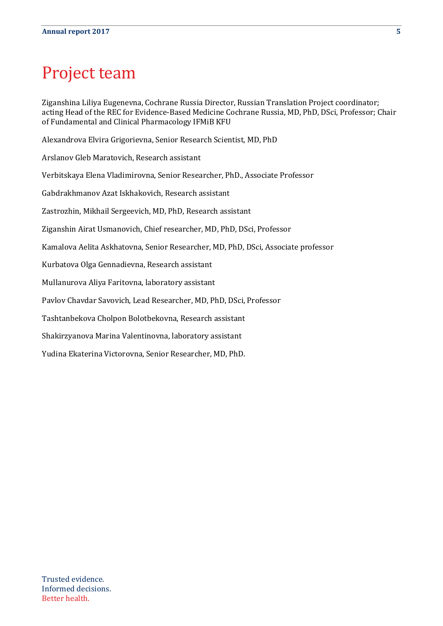### <span id="page-4-0"></span>Project team

Ziganshina Liliya Eugenevna, Cochrane Russia Director, Russian Translation Project coordinator; acting Head of the REC for Evidence-Based Medicine Cochrane Russia, MD, PhD, DSci, Professor; Chair of Fundamental and Clinical Pharmacology IFMiB KFU

Alexandrova Elvira Grigorievna, Senior Research Scientist, MD, PhD

Arslanov Gleb Maratovich, Research assistant

Verbitskaya Elena Vladimirovna, Senior Researcher, PhD., Associate Professor

Gabdrakhmanov Azat Iskhakovich, Research assistant

Zastrozhin, Mikhail Sergeevich, MD, PhD, Research assistant

Ziganshin Airat Usmanovich, Chief researcher, MD, PhD, DSci, Professor

Kamalova Aelita Askhatovna, Senior Researcher, MD, PhD, DSci, Associate professor

Kurbatova Olga Gennadievna, Research assistant

Mullanurova Aliya Faritovna, laboratory assistant

Pavlov Chavdar Savovich, Lead Researcher, MD, PhD, DSci, Professor

Tashtanbekova Cholpon Bolotbekovna, Research assistant

Shakirzyanova Marina Valentinovna, laboratory assistant

Yudina Ekaterina Victorovna, Senior Researcher, MD, PhD.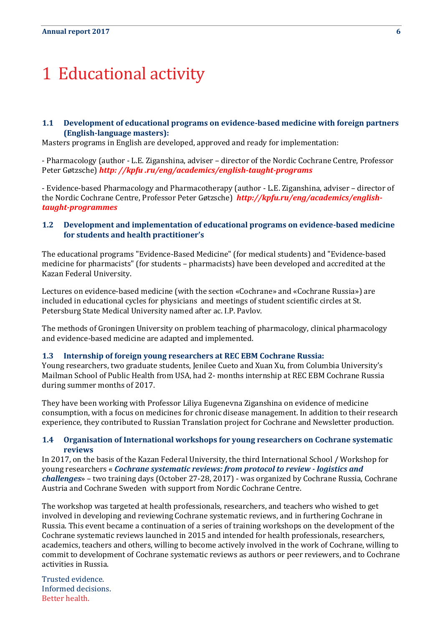## <span id="page-5-0"></span>1 Educational activity

#### <span id="page-5-1"></span>**1.1 Development of educational programs on evidence-based medicine with foreign partners (English-language masters):**

Masters programs in English are developed, approved and ready for implementation:

- Pharmacology (author - L.E. Ziganshina, adviser – director of the Nordic Cochrane Centre, Professor Peter Gøtzsche) *http: //kpfu .ru/eng/academics/english-taught-programs*

- Evidence-based Pharmacology and Pharmacotherapy (author - L.E. Ziganshina, adviser – director of the Nordic Cochrane Centre, Professor Peter Gøtzsche) *http://kpfu.ru/eng/academics/englishtaught-programmes*

#### <span id="page-5-2"></span>**1.2 Development and implementation of educational programs on evidence-based medicine for students and health practitioner's**

The educational programs "Evidence-Based Medicine" (for medical students) and "Evidence-based medicine for pharmacists" (for students – pharmacists) have been developed and accredited at the Kazan Federal University.

Lectures on evidence-based medicine (with the section «Cochrane» and «Cochrane Russia») are included in educational cycles for physicians and meetings of student scientific circles at St. Petersburg State Medical University named after ac. I.P. Pavlov.

The methods of Groningen University on problem teaching of pharmacology, clinical pharmacology and evidence-based medicine are adapted and implemented.

#### <span id="page-5-3"></span>**1.3 Internship of foreign young researchers at REC EBM Cochrane Russia:**

Young researchers, two graduate students, Jenilee Cueto and Xuan Xu, from Columbia University's Mailman School of Publiс Health from USA, had 2- months internship at REC EBM Cochrane Russia during summer months of 2017.

They have been working with Professor Liliya Eugenevna Ziganshina on evidence of medicine consumption, with a focus on medicines for chronic disease management. In addition to their research experience, they contributed to Russian Translation project for Cochrane and Newsletter production.

#### <span id="page-5-4"></span>**1.4 Organisation of International workshops for young researchers on Cochrane systematic reviews**

In 2017, on the basis of the Kazan Federal University, the third International School / Workshop for young researchers « *Cochrane systematic reviews: from protocol to review - logistics and challenges*» – two training days (October 27-28, 2017) - was organized by Cochrane Russia, Cochrane Austria and Cochrane Sweden with support from Nordic Cochrane Centre.

The workshop was targeted at health professionals, researchers, and teachers who wished to get involved in developing and reviewing Cochrane systematic reviews, and in furthering Cochrane in Russia. This event became a continuation of a series of training workshops on the development of the Cochrane systematic reviews launched in 2015 and intended for health professionals, researchers, academics, teachers and others, willing to become actively involved in the work of Cochrane, willing to commit to development of Cochrane systematic reviews as authors or peer reviewers, and to Cochrane activities in Russia.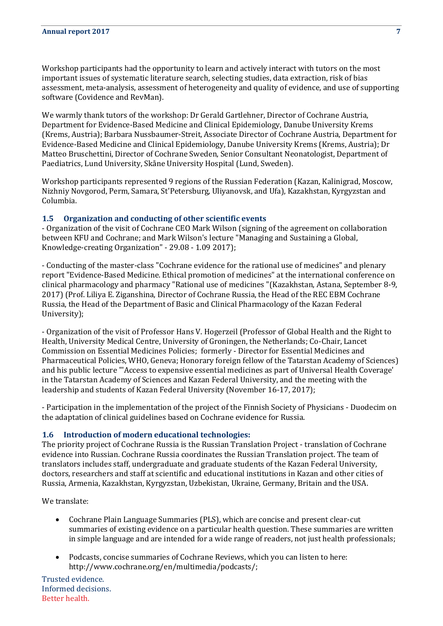Workshop participants had the opportunity to learn and actively interact with tutors on the most important issues of systematic literature search, selecting studies, data extraction, risk of bias assessment, meta-analysis, assessment of heterogeneity and quality of evidence, and use of supporting software (Covidence and RevMan).

We warmly thank tutors of the workshop: Dr Gerald Gartlehner, Director of Cochrane Austria, Department for Evidence-Based Medicine and Clinical Epidemiology, Danube University Krems (Krems, Austria); Barbara Nussbaumer-Streit, Associate Director of Cochrane Austria, Department for Evidence-Based Medicine and Clinical Epidemiology, Danube University Krems (Krems, Austria); Dr Matteo Bruschettini, Director of Cochrane Sweden, Senior Consultant Neonatologist, Department of Paediatrics, Lund University, Skåne University Hospital (Lund, Sweden).

Workshop participants represented 9 regions of the Russian Federation (Kazan, Kalinigrad, Moscow, Nizhniy Novgorod, Perm, Samara, St'Petersburg, Uliyanovsk, and Ufa), Kazakhstan, Kyrgyzstan and Columbia.

#### <span id="page-6-0"></span>**1.5 Organization and conducting of other scientific events**

- Organization of the visit of Cochrane CEO Mark Wilson (signing of the agreement on collaboration between KFU and Cochrane; and Mark Wilson's lecture "Managing and Sustaining a Global, Knowledge-creating Organization" - 29.08 - 1.09 2017);

- Conducting of the master-class "Cochrane evidence for the rational use of medicines" and plenary report "Evidence-Based Medicine. Ethical promotion of medicines" at the international conference on clinical pharmacology and pharmacy "Rational use of medicines "(Kazakhstan, Astana, September 8-9, 2017) (Prof. Liliya E. Ziganshina, Director of Cochrane Russia, the Head of the REC EBM Cochrane Russia, the Head of the Department of Basic and Clinical Pharmacology of the Kazan Federal University);

- Organization of the visit of Professor Hans V. Hogerzeil (Professor of Global Health and the Right to Health, University Medical Centre, University of Groningen, the Netherlands; Co-Chair, Lancet Commission on Essential Medicines Policies; formerly - Director for Essential Medicines and Pharmaceutical Policies, WHO, Geneva; Honorary foreign fellow of the Tatarstan Academy of Sciences) and his public lecture "'Access to expensive essential medicines as part of Universal Health Coverage' in the Tatarstan Academy of Sciences and Kazan Federal University, and the meeting with the leadership and students of Kazan Federal University (November 16-17, 2017);

- Participation in the implementation of the project of the Finnish Society of Physicians - Duodecim on the adaptation of clinical guidelines based on Cochrane evidence for Russia.

#### <span id="page-6-1"></span>**1.6 Introduction of modern educational technologies:**

The priority project of Cochrane Russia is the Russian Translation Project - translation of Cochrane evidence into Russian. Cochrane Russia coordinates the Russian Translation project. The team of translators includes staff, undergraduate and graduate students of the Kazan Federal University, doctors, researchers and staff at scientific and educational institutions in Kazan and other cities of Russia, Armenia, Kazakhstan, Kyrgyzstan, Uzbekistan, Ukraine, Germany, Britain and the USA.

We translate:

- $\bullet$ Cochrane Plain Language Summaries (PLS), which are concise and present clear-cut summaries of existing evidence on a particular health question. These summaries are written in simple language and are intended for a wide range of readers, not just health professionals;
- Podcasts, concise summaries of Cochrane Reviews, which you can listen to here: http://www.cochrane.org/en/multimedia/podcasts/;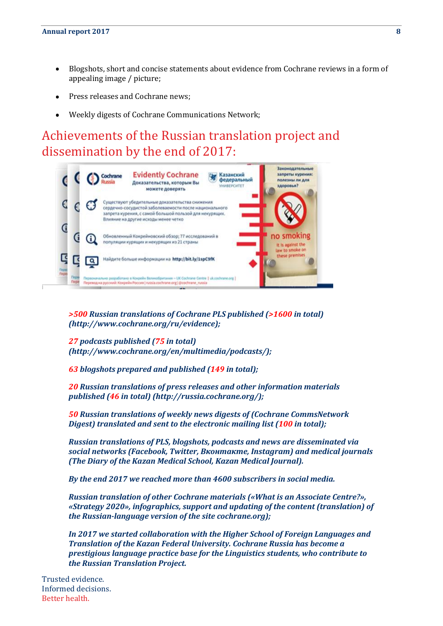- Blogshots, short and concise statements about evidence from Cochrane reviews in a form of appealing image / picture;
- Press releases and Cochrane news;
- Weekly digests of Cochrane Communications Network;

### Achievements of the Russian translation project and dissemination by the end of 2017:



*>500 Russian translations of Cochrane PLS published (>1600 in total) (http://www.cochrane.org/ru/evidence);*

*27 podcasts published (75 in total) (http://www.cochrane.org/en/multimedia/podcasts/);*

*63 blogshots prepared and published (149 in total);*

*20 Russian translations of press releases and other information materials published (46 in total) (http://russia.cochrane.org/);*

*50 Russian translations of weekly news digests of (Cochrane CommsNetwork Digest) translated and sent to the electronic mailing list (100 in total);*

*Russian translations of PLS, blogshots, podcasts and news are disseminated via social networks (Facebook, Twitter, Вконтакте, Instagram) and medical journals (The Diary of the Kazan Medical School, Kazan Medical Journal).* 

*By the end 2017 we reached more than 4600 subscribers in social media.*

*Russian translation of other Cochrane materials («What is an Associate Centre?», «Strategy 2020», infographics, support and updating of the content (translation) of the Russian-language version of the site cochrane.org);*

*In 2017 we started collaboration with the Higher School of Foreign Languages and Translation of the Kazan Federal University. Cochrane Russia has become a prestigious language practice base for the Linguistics students, who contribute to the Russian Translation Project.*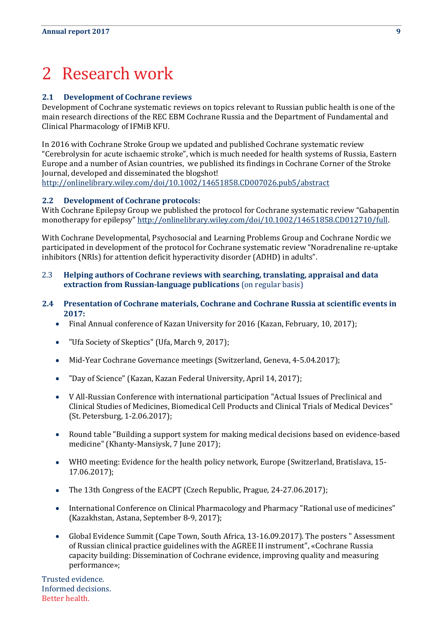# <span id="page-8-0"></span>2 Research work

#### <span id="page-8-1"></span>**2.1 Development of Cochrane reviews**

Development of Cochrane systematic reviews on topics relevant to Russian public health is one of the main research directions of the REC EBM Cochrane Russia and the Department of Fundamental and Clinical Pharmacology of IFMiB KFU.

In 2016 with Cochrane Stroke Group we updated and published Cochrane systematic review "Cerebrolysin for acute ischaemic stroke", which is much needed for health systems of Russia, Eastern Europe and a number of Asian countries, we published its findings in Cochrane Corner of the Stroke Journal, developed and disseminated the blogshot!

<http://onlinelibrary.wiley.com/doi/10.1002/14651858.CD007026.pub5/abstract>

#### <span id="page-8-2"></span>**2.2 Development of Cochrane protocols:**

With Cochrane Epilepsy Group we published the protocol for Cochrane systematic review "Gabapentin monotherapy for epilepsy" [http://onlinelibrary.wiley.com/doi/10.1002/14651858.CD012710/full.](http://onlinelibrary.wiley.com/doi/10.1002/14651858.CD012710/full)

With Cochrane Developmental, Psychosocial and Learning Problems Group and Cochrane Nordic we participated in development of the protocol for Cochrane systematic review "Noradrenaline re-uptake inhibitors (NRIs) for attention deficit hyperactivity disorder (ADHD) in adults".

- <span id="page-8-3"></span>2.3 **Helping authors of Cochrane reviews with searching, translating, appraisal and data extraction from Russian-language publications** (on regular basis)
- <span id="page-8-4"></span>**2.4 Presentation of Cochrane materials, Cochrane and Cochrane Russia at scientific events in 2017:**
	- Final Annual conference of Kazan University for 2016 (Kazan, February, 10, 2017);
	- "Ufa Society of Skeptics" (Ufa, March 9, 2017);
	- Mid-Year Cochrane Governance meetings (Switzerland, Geneva, 4-5.04.2017);  $\bullet$
	- "Day of Science" (Kazan, Kazan Federal University, April 14, 2017);  $\bullet$
	- V All-Russian Conference with international participation "Actual Issues of Preclinical and  $\bullet$ Clinical Studies of Medicines, Biomedical Cell Products and Clinical Trials of Medical Devices" (St. Petersburg, 1-2.06.2017);
	- Round table "Building a support system for making medical decisions based on evidence-based  $\bullet$ medicine" (Khanty-Mansiysk, 7 June 2017);
	- WHO meeting: Evidence for the health policy network, Europe (Switzerland, Bratislava, 15-  $\bullet$ 17.06.2017);
	- The 13th Congress of the EACPT (Czech Republic, Prague, 24-27.06.2017);  $\bullet$
	- International Conference on Clinical Pharmacology and Pharmacy "Rational use of medicines" (Kazakhstan, Astana, September 8-9, 2017);
	- Global Evidence Summit (Cape Town, South Africa, 13-16.09.2017). The posters " Assessment  $\bullet$ of Russian clinical practice guidelines with the AGREE II instrument", «Cochrane Russia capacity building: Dissemination of Cochrane evidence, improving quality and measuring performance»;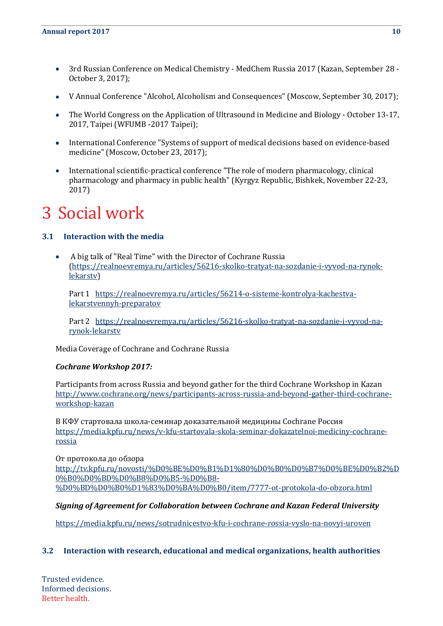- $\bullet$ 3rd Russian Conference on Medical Chemistry - MedChem Russia 2017 (Kazan, September 28 - October 3, 2017);
- V Annual Conference "Alcohol, Alcoholism and Consequences" (Moscow, September 30, 2017);  $\bullet$
- The World Congress on the Application of Ultrasound in Medicine and Biology October 13-17,  $\bullet$ 2017, Taipei (WFUMB -2017 Taipei);
- International Conference "Systems of support of medical decisions based on evidence-based  $\bullet$ medicine" (Moscow, October 23, 2017);
- International scientific-practical conference "The role of modern pharmacology, clinical  $\bullet$ pharmacology and pharmacy in public health" (Kyrgyz Republic, Bishkek, November 22-23, 2017)

### <span id="page-9-0"></span>3 Social work

#### <span id="page-9-1"></span>**3.1 Interaction with the media**

 $\bullet$ A big talk of "Real Time" with the Director of Cochrane Russia [\(https://realnoevremya.ru/articles/56216-skolko-tratyat-na-sozdanie-i-vyvod-na-rynok](https://realnoevremya.ru/articles/56216-skolko-tratyat-na-sozdanie-i-vyvod-na-rynok-lekarstv)[lekarstv\)](https://realnoevremya.ru/articles/56216-skolko-tratyat-na-sozdanie-i-vyvod-na-rynok-lekarstv)

Part 1 [https://realnoevremya.ru/articles/56214-o-sisteme-kontrolya-kachestva](https://realnoevremya.ru/articles/56214-o-sisteme-kontrolya-kachestva-lekarstvennyh-preparatov)[lekarstvennyh-preparatov](https://realnoevremya.ru/articles/56214-o-sisteme-kontrolya-kachestva-lekarstvennyh-preparatov) 

Part 2 [https://realnoevremya.ru/articles/56216-skolko-tratyat-na-sozdanie-i-vyvod-na](https://realnoevremya.ru/articles/56216-skolko-tratyat-na-sozdanie-i-vyvod-na-rynok-lekarstv)[rynok-lekarstv](https://realnoevremya.ru/articles/56216-skolko-tratyat-na-sozdanie-i-vyvod-na-rynok-lekarstv)

Media Coverage of Cochrane and Cochrane Russia

#### *Cochrane Workshop 2017:*

Participants from across Russia and beyond gather for the third Cochrane Workshop in Kazan [http://www.cochrane.org/news/participants-across-russia-and-beyond-gather-third-cochrane](http://www.cochrane.org/news/participants-across-russia-and-beyond-gather-third-cochrane-workshop-kazan)[workshop-kazan](http://www.cochrane.org/news/participants-across-russia-and-beyond-gather-third-cochrane-workshop-kazan)

В КФУ стартовала школа-семинар доказательной медицины Cochrane Россия [https://media.kpfu.ru/news/v-kfu-startovala-skola-seminar-dokazatelnoi-mediciny-cochrane](https://media.kpfu.ru/news/v-kfu-startovala-skola-seminar-dokazatelnoi-mediciny-cochrane-rossia)[rossia](https://media.kpfu.ru/news/v-kfu-startovala-skola-seminar-dokazatelnoi-mediciny-cochrane-rossia)

От протокола до обзора [http://tv.kpfu.ru/novosti/%D0%BE%D0%B1%D1%80%D0%B0%D0%B7%D0%BE%D0%B2%D](http://tv.kpfu.ru/novosti/%D0%BE%D0%B1%D1%80%D0%B0%D0%B7%D0%BE%D0%B2%D0%B0%D0%BD%D0%B8%D0%B5-%D0%B8-%D0%BD%D0%B0%D1%83%D0%BA%D0%B0/item/7777-ot-protokola-do-obzora.html) [0%B0%D0%BD%D0%B8%D0%B5-%D0%B8-](http://tv.kpfu.ru/novosti/%D0%BE%D0%B1%D1%80%D0%B0%D0%B7%D0%BE%D0%B2%D0%B0%D0%BD%D0%B8%D0%B5-%D0%B8-%D0%BD%D0%B0%D1%83%D0%BA%D0%B0/item/7777-ot-protokola-do-obzora.html) [%D0%BD%D0%B0%D1%83%D0%BA%D0%B0/item/7777-ot-protokola-do-obzora.html](http://tv.kpfu.ru/novosti/%D0%BE%D0%B1%D1%80%D0%B0%D0%B7%D0%BE%D0%B2%D0%B0%D0%BD%D0%B8%D0%B5-%D0%B8-%D0%BD%D0%B0%D1%83%D0%BA%D0%B0/item/7777-ot-protokola-do-obzora.html)

#### *Signing of Agreement for Collaboration between Cochrane and Kazan Federal University*

<https://media.kpfu.ru/news/sotrudnicestvo-kfu-i-cochrane-rossia-vyslo-na-novyi-uroven>

#### <span id="page-9-2"></span>**3.2 Interaction with research, educational and medical organizations, health authorities**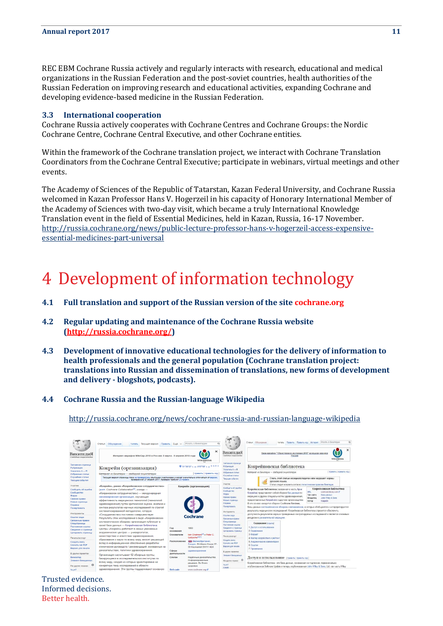REC EBM Cochrane Russia actively and regularly interacts with research, educational and medical organizations in the Russian Federation and the post-soviet countries, health authorities of the Russian Federation on improving research and educational activities, expanding Cochrane and developing evidence-based medicine in the Russian Federation.

#### <span id="page-10-0"></span>**3.3 International cooperation**

Cochrane Russia actively cooperates with Cochrane Centres and Cochrane Groups: the Nordic Cochrane Centre, Cochrane Central Executive, and other Cochrane entities.

Within the framework of the Cochrane translation project, we interact with Cochrane Translation Coordinators from the Cochrane Central Executive; participate in webinars, virtual meetings and other events.

The Academy of Sciences of the Republic of Tatarstan, Kazan Federal University, and Cochrane Russia welcomed in Kazan Professor Hans V. Hogerzeil in his capacity of Honorary International Member of the Academy of Sciences with two-day visit, which became a truly International Knowledge Translation event in the field of Essential Medicines, held in Kazan, Russia, 16-17 November. [http://russia.cochrane.org/news/public-lecture-professor-hans-v-hogerzeil-access-expensive](http://russia.cochrane.org/news/public-lecture-professor-hans-v-hogerzeil-access-expensive-essential-medicines-part-universal)[essential-medicines-part-universal](http://russia.cochrane.org/news/public-lecture-professor-hans-v-hogerzeil-access-expensive-essential-medicines-part-universal)

### <span id="page-10-1"></span>4 Development of information technology

- <span id="page-10-2"></span>**4.1 Full translation and support of the Russian version of the site cochrane.org**
- <span id="page-10-3"></span>**4.2 Regular updating and maintenance of the Cochrane Russia website [\(http://russia.cochrane.org/\)](http://russia.cochrane.org/)**
- <span id="page-10-4"></span>**4.3 Development of innovative educational technologies for the delivery of information to health professionals and the general population (Cochrane translation project: translations into Russian and dissemination of translations, new forms of development and delivery - blogshots, podcasts).**
- <span id="page-10-5"></span>**4.4 Cochrane Russia and the Russian-language Wikipedia**

<http://russia.cochrane.org/news/cochrane-russia-and-russian-language-wikipedia>

| in.                                                                                                                                                                                                                                                                                                                                | Статья Обсуждение<br>Читать Текущая версия Править Ещё ~                                                                                                                                                                                                                                                                                                                                                                                                                                                                                                                                                                                                                                                                                                                                                                                                                                                                                                                          | Искать в Википедии                                                                                                                                                                 | $\Omega$<br>$\alpha$<br>m                                                                                                                                                                                                                                                                                                                                                                                                                                                                                                          | $\sqrt{2}$<br>$\boldsymbol{M}$                  | $\alpha$<br>Worany в Википедии<br>Статья Обсуждение<br>Читать Править Править ход История                                                                                                                                                                                                                                                                                                                                                                                                                                                                                                                                                                                                                                                                                                                                                                                                                                                                      |  |  |
|------------------------------------------------------------------------------------------------------------------------------------------------------------------------------------------------------------------------------------------------------------------------------------------------------------------------------------|-----------------------------------------------------------------------------------------------------------------------------------------------------------------------------------------------------------------------------------------------------------------------------------------------------------------------------------------------------------------------------------------------------------------------------------------------------------------------------------------------------------------------------------------------------------------------------------------------------------------------------------------------------------------------------------------------------------------------------------------------------------------------------------------------------------------------------------------------------------------------------------------------------------------------------------------------------------------------------------|------------------------------------------------------------------------------------------------------------------------------------------------------------------------------------|------------------------------------------------------------------------------------------------------------------------------------------------------------------------------------------------------------------------------------------------------------------------------------------------------------------------------------------------------------------------------------------------------------------------------------------------------------------------------------------------------------------------------------|-------------------------------------------------|----------------------------------------------------------------------------------------------------------------------------------------------------------------------------------------------------------------------------------------------------------------------------------------------------------------------------------------------------------------------------------------------------------------------------------------------------------------------------------------------------------------------------------------------------------------------------------------------------------------------------------------------------------------------------------------------------------------------------------------------------------------------------------------------------------------------------------------------------------------------------------------------------------------------------------------------------------------|--|--|
| ВикипедиЯ<br>Свободная энциклопедия                                                                                                                                                                                                                                                                                                | $\times$<br>Интернет-марафон WikiGap-2018 в России: 8 марта - 9 апреля 2018 года<br>WIKIMEDIA                                                                                                                                                                                                                                                                                                                                                                                                                                                                                                                                                                                                                                                                                                                                                                                                                                                                                     |                                                                                                                                                                                    | Coofisheer measurantship                                                                                                                                                                                                                                                                                                                                                                                                                                                                                                           | ВикипелиЯ                                       | Вики-марафон "Общественное достояние 2018" на языках народог<br>России<br>WIKIMEDIA<br>Кокрейновская библиотека<br>[ править   править код ]<br>Материал из Википедии - свободной энциклопедии                                                                                                                                                                                                                                                                                                                                                                                                                                                                                                                                                                                                                                                                                                                                                                 |  |  |
| Заглавная страница<br>Рубрикация                                                                                                                                                                                                                                                                                                   | ● 51'30'32' с. ш. 0"07'58' а. д. Н. Ф. Я. О.<br>Кокрейн (организация)                                                                                                                                                                                                                                                                                                                                                                                                                                                                                                                                                                                                                                                                                                                                                                                                                                                                                                             |                                                                                                                                                                                    | Заплавная страница<br>PyCpve/ausnit<br>Я - А илетель                                                                                                                                                                                                                                                                                                                                                                                                                                                                               |                                                 |                                                                                                                                                                                                                                                                                                                                                                                                                                                                                                                                                                                                                                                                                                                                                                                                                                                                                                                                                                |  |  |
| Указатель А - Я<br>Избранные статьи                                                                                                                                                                                                                                                                                                | <b>Глоавить   править код 1</b><br>Материал из Википедии - свободной энциклопедии                                                                                                                                                                                                                                                                                                                                                                                                                                                                                                                                                                                                                                                                                                                                                                                                                                                                                                 |                                                                                                                                                                                    | Избранные статьи                                                                                                                                                                                                                                                                                                                                                                                                                                                                                                                   |                                                 |                                                                                                                                                                                                                                                                                                                                                                                                                                                                                                                                                                                                                                                                                                                                                                                                                                                                                                                                                                |  |  |
| Случайная статья<br>Текущие события                                                                                                                                                                                                                                                                                                | Текущая версия страницы пока не проверялась опытными участниками и может значительно отличаться от версии.<br>проверенной 27 апреля 2017; проверки требуют 23 правки.                                                                                                                                                                                                                                                                                                                                                                                                                                                                                                                                                                                                                                                                                                                                                                                                             |                                                                                                                                                                                    |                                                                                                                                                                                                                                                                                                                                                                                                                                                                                                                                    | Covialess crana<br>Текущие события              | Стиль этой статьи незнциклопедичен или нарушает нормы<br>русского языка.                                                                                                                                                                                                                                                                                                                                                                                                                                                                                                                                                                                                                                                                                                                                                                                                                                                                                       |  |  |
| Участие<br>Сообщить об ошибке<br>Сообщество<br>Форум<br>Свежие правки<br>Новью страницы<br>Справка<br>Пожертвовать<br>Инструменты<br>Ссылки сюда<br>Связанные правки<br>Спецстраницы<br>Постоянная ссылка<br>Сведения о странице<br>Цитировать страницу<br>Печать/экспорт<br>Создать книгу<br>Скачать как РОЕ<br>Версия для печати | «Кокрейн», ранее «Кокрейновское сотрудничество»<br>(англ. Cochrane Collaboration <sup>[2]</sup> , иногда -<br>«Кокрановское сотрудничество») - международная<br>некоммерческая организация, изучающая<br>эффективность медицинских технологий (технологий<br>здравоохранения) путём критической оценки, анализа и<br>синтеза результатов научных исследований по строгой<br>систематизированной методологии, которую<br>«Сотрудничество» постоянно совершенствует.<br>Результаты этих исследований в виде «Кокрейновских<br>систематических обзоров» организация публикует в<br>своей базе данных - Кокрейновская библиотека<br>Центры «Кокрейн» работают в самых уважаемых<br>академических центрах - университетах,<br>министерствах и агентствах здравоохранения,<br>образования и науки по всему миру, вносят решающий<br>вклад в информационное обеспечение разработки<br>клинических руководств / рекомендаций, основанных на<br>доказательствах, политики здравоохранения. | Кокрейн (организация)<br>Cochrane<br>1993<br>Год<br>основания<br>Основатели<br>Gøtzsche <sup>[d][1]</sup><br><b>НЕВ Великобритания</b><br>Расположение<br>Cdepa<br>здравоохранение | Участие<br>Coocuars of quarter<br>Сеобщество<br>DogyM<br>Свежив правки<br>Новые страницы<br>Crosera<br><b><i><u><u>Conseptements</u></u></i></b><br>Инструменты<br>Семлян сюля<br>Сехранные правки<br>Слецстраницы<br>Постолниал ссылка<br>Сведания о странице<br>2 Содержание<br>Ципировать страницу<br>lain Chalmers <sup>[6]</sup> и Peter C.<br>3 Copwar<br><b><i><u>Печать/экспорт</u></i></b><br>Connary mury<br>Causary, car PDF<br>Лондон. St Albans House 57-<br>6 Ссылон<br>Begges ons ne-large<br>59 Havmarket SW1Y 4QX |                                                 | Статью следует исправить согласно стилистических правилам Википедии.<br>Кокрейновская библиотека<br>Кокрейновская библиотека (названная в честь Арчи<br>cochranelibrary.com<br>URL<br>Кокрейна) представляет собой сборник баз данных по<br>база данных<br>Tien cairra<br>медицине и другим специальностям здравозхранения.<br>John Wiley & Sons<br><b>Пладелец</b><br>предоставленных Кокрейном и другими организациями.<br>Antop<br>Кокрейн<br>В его основе находится сборник Cochrane Reviews.<br>базы данных систематических обзоров и метаанализов, в которых обобщаются и интерпретируются<br>результаты медицинских исследований. Кокрейновская библиотека стремится обеспечить<br>доступность результатов хорошо проведенных контролируемых исследований и является ключевым<br>ресурсом в доказательной медицине.<br>Содержание (скрыть)<br>1 Доступ и использование<br>4 Фактор воздействия и рейтинг<br>5 Академические комментарии<br>7 Примечание |  |  |
| В других проектах<br>Викисклад<br>Элемент Викиданных                                                                                                                                                                                                                                                                               | Организация насчитывает 52 обзорные группы,<br>базирующиеся в исследовательских институтах по                                                                                                                                                                                                                                                                                                                                                                                                                                                                                                                                                                                                                                                                                                                                                                                                                                                                                     | деятельности<br>Cnoran<br>Надёжные доказательства.<br>Информированные<br>На других языках                                                                                          | Элемент Бениданных<br>$\circ$                                                                                                                                                                                                                                                                                                                                                                                                                                                                                                      | ДОСТУП И ИСПОЛЬЗОВАНИЕ [ править   править код] |                                                                                                                                                                                                                                                                                                                                                                                                                                                                                                                                                                                                                                                                                                                                                                                                                                                                                                                                                                |  |  |
| ۰<br>На других языках                                                                                                                                                                                                                                                                                                              | всему миру, каждая из которых ориентирована на<br>конкретную тему исследований в области<br>здравоохранения. Эти группы поддерживают основную                                                                                                                                                                                                                                                                                                                                                                                                                                                                                                                                                                                                                                                                                                                                                                                                                                     | решения. Во благо<br>здоровья.<br>Веб-сайт<br>www.cochrane.org                                                                                                                     | العربية<br>Català                                                                                                                                                                                                                                                                                                                                                                                                                                                                                                                  |                                                 | Кокрейновская библиотека - это база данных, основанная на подписках, первоначально<br>onyбликованная Software Update и теперь onyбликованная John Wiley & Sons, Ltd. как часть Wiley                                                                                                                                                                                                                                                                                                                                                                                                                                                                                                                                                                                                                                                                                                                                                                           |  |  |
| العربية                                                                                                                                                                                                                                                                                                                            |                                                                                                                                                                                                                                                                                                                                                                                                                                                                                                                                                                                                                                                                                                                                                                                                                                                                                                                                                                                   |                                                                                                                                                                                    |                                                                                                                                                                                                                                                                                                                                                                                                                                                                                                                                    |                                                 |                                                                                                                                                                                                                                                                                                                                                                                                                                                                                                                                                                                                                                                                                                                                                                                                                                                                                                                                                                |  |  |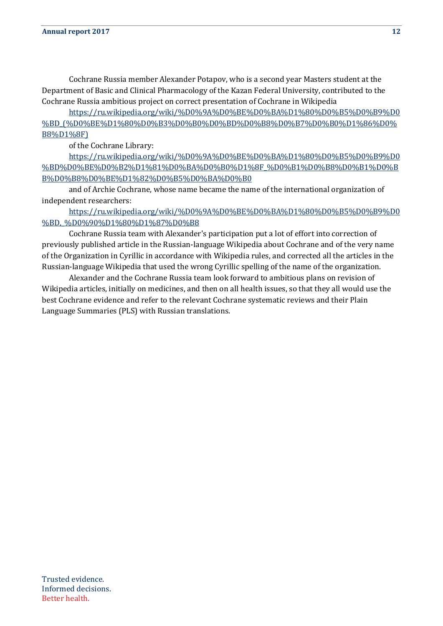Cochrane Russia member Alexander Potapov, who is a second year Masters student at the Department of Basic and Clinical Pharmacology of the Kazan Federal University, contributed to the Cochrane Russia ambitious project on correct presentation of Cochrane in Wikipedia

[https://ru.wikipedia.org/wiki/%D0%9A%D0%BE%D0%BA%D1%80%D0%B5%D0%B9%D0](https://ru.wikipedia.org/wiki/%D0%9A%D0%BE%D0%BA%D1%80%D0%B5%D0%B9%D0%BD_(%D0%BE%D1%80%D0%B3%D0%B0%D0%BD%D0%B8%D0%B7%D0%B0%D1%86%D0%B8%D1%8F)) [%BD\\_\(%D0%BE%D1%80%D0%B3%D0%B0%D0%BD%D0%B8%D0%B7%D0%B0%D1%86%D0%](https://ru.wikipedia.org/wiki/%D0%9A%D0%BE%D0%BA%D1%80%D0%B5%D0%B9%D0%BD_(%D0%BE%D1%80%D0%B3%D0%B0%D0%BD%D0%B8%D0%B7%D0%B0%D1%86%D0%B8%D1%8F)) [B8%D1%8F\)](https://ru.wikipedia.org/wiki/%D0%9A%D0%BE%D0%BA%D1%80%D0%B5%D0%B9%D0%BD_(%D0%BE%D1%80%D0%B3%D0%B0%D0%BD%D0%B8%D0%B7%D0%B0%D1%86%D0%B8%D1%8F))

of the Cochrane Library:

[https://ru.wikipedia.org/wiki/%D0%9A%D0%BE%D0%BA%D1%80%D0%B5%D0%B9%D0](https://ru.wikipedia.org/wiki/%D0%9A%D0%BE%D0%BA%D1%80%D0%B5%D0%B9%D0%BD%D0%BE%D0%B2%D1%81%D0%BA%D0%B0%D1%8F_%D0%B1%D0%B8%D0%B1%D0%BB%D0%B8%D0%BE%D1%82%D0%B5%D0%BA%D0%B0) [%BD%D0%BE%D0%B2%D1%81%D0%BA%D0%B0%D1%8F\\_%D0%B1%D0%B8%D0%B1%D0%B](https://ru.wikipedia.org/wiki/%D0%9A%D0%BE%D0%BA%D1%80%D0%B5%D0%B9%D0%BD%D0%BE%D0%B2%D1%81%D0%BA%D0%B0%D1%8F_%D0%B1%D0%B8%D0%B1%D0%BB%D0%B8%D0%BE%D1%82%D0%B5%D0%BA%D0%B0) [B%D0%B8%D0%BE%D1%82%D0%B5%D0%BA%D0%B0](https://ru.wikipedia.org/wiki/%D0%9A%D0%BE%D0%BA%D1%80%D0%B5%D0%B9%D0%BD%D0%BE%D0%B2%D1%81%D0%BA%D0%B0%D1%8F_%D0%B1%D0%B8%D0%B1%D0%BB%D0%B8%D0%BE%D1%82%D0%B5%D0%BA%D0%B0)

and of Archie Cochrane, whose name became the name of the international organization of independent researchers:

[https://ru.wikipedia.org/wiki/%D0%9A%D0%BE%D0%BA%D1%80%D0%B5%D0%B9%D0](https://ru.wikipedia.org/wiki/%D0%9A%D0%BE%D0%BA%D1%80%D0%B5%D0%B9%D0%BD,_%D0%90%D1%80%D1%87%D0%B8) %BD,%D0%90%D1%80%D1%87%D0%B8

Cochrane Russia team with Alexander's participation put a lot of effort into correction of previously published article in the Russian-language Wikipedia about Cochrane and of the very name of the Organization in Cyrillic in accordance with Wikipedia rules, and corrected all the articles in the Russian-language Wikipedia that used the wrong Cyrillic spelling of the name of the organization.

Alexander and the Cochrane Russia team look forward to ambitious plans on revision of Wikipedia articles, initially on medicines, and then on all health issues, so that they all would use the best Cochrane evidence and refer to the relevant Cochrane systematic reviews and their Plain Language Summaries (PLS) with Russian translations.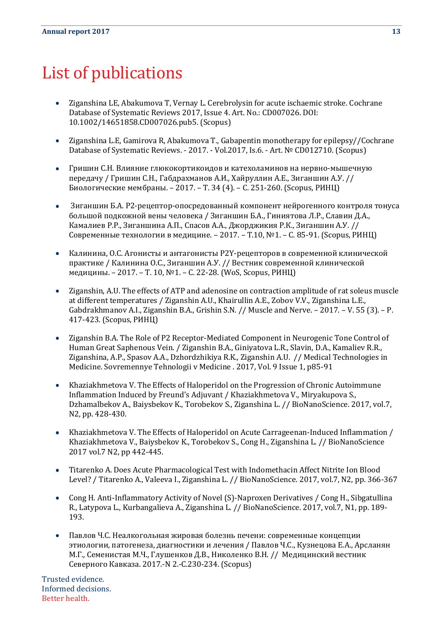## <span id="page-12-0"></span>List of publications

- Ziganshina LE, Abakumova T, Vernay L. Cerebrolysin for acute ischaemic stroke. Cochrane  $\bullet$ Database of Systematic Reviews 2017, Issue 4. Art. No.: CD007026. DOI: 10.1002/14651858.CD007026.pub5. (Scopus)
- Ziganshina L.E, Gamirova R, Abakumova T., Gabapentin monotherapy for epilepsy//Cochrane  $\bullet$ Database of Systematic Reviews. - 2017. - Vol.2017, Is.6. - Art. № CD012710. (Scopus)
- Гришин С.Н. Влияние глюкокортикоидов и катехоламинов на нервно-мышечную  $\bullet$ передачу / Гришин С.Н., Габдрахманов А.И., Хайруллин А.Е., Зиганшин А.У. // Биологические мембраны. – 2017. – Т. 34 (4). – С. 251-260. (Scopus, РИНЦ)
- $\bullet$ Зиганшин Б.А. Р2-рецептор-опосредованный компонент нейрогенного контроля тонуса большой подкожной вены человека / Зиганшин Б.А., Гиниятова Л.Р., Славин Д.А., Камалиев Р.Р., Зиганшина А.П., Спасов А.А., Джорджикия Р.К., Зиганшин А.У. // Современные технологии в медицине. – 2017. – Т.10, №1. – С. 85-91. (Scopus, РИНЦ)
- Калинина, О.С. Агонисты и антагонисты Р2Y-рецепторов в современной клинической  $\bullet$ практике / Калинина О.С., Зиганшин А.У. // Вестник современной клинической медицины. – 2017. – Т. 10, №1. – С. 22-28. (WоS, Scopus, РИНЦ)
- Ziganshin, A.U. The effects of ATP and adenosine on contraction amplitude of rat soleus muscle at different temperatures / Ziganshin A.U., Khairullin A.E., Zobov V.V., Ziganshina L.E., Gabdrakhmanov A.I., Ziganshin B.A., Grishin S.N. // Muscle and Nerve. – 2017. – V. 55 (3). – P. 417-423. (Scopus, РИНЦ)
- Ziganshin B.A. The Role of P2 Receptor-Mediated Component in Neurogenic Tone Control of  $\bullet$ Human Great Saphenous Vein. / Ziganshin B.A., Giniyatova L.R., Slavin, D.A., Kamaliev R.R., Ziganshina, A.P., Spasov A.A., Dzhordzhikiya R.K., Ziganshin A.U. // Medical Technologies in Medicine. Sovremennye Tehnologii v Medicine . 2017, Vol. 9 Issue 1, p85-91
- Khaziakhmetova V. The Effects of Haloperidol on the Progression of Chronic Autoimmune  $\bullet$ Inflammation Induced by Freund's Adjuvant / Khaziakhmetova V., Miryakupova S., Dzhamalbekov A., Baiysbekov K., Torobekov S., Ziganshina L. // BioNanoScience. 2017, vol.7, N2, pp. 428-430.
- Khaziakhmetova V. The Effects of Haloperidol on Acute Carrageenan-Induced Inflammation /  $\bullet$ Khaziakhmetova V., Baiysbekov K., Torobekov S., Cong H., Ziganshina L. // BioNanoScience 2017 vol.7 N2, pp 442-445.
- Titarenko A. Does Acute Pharmacological Test with Indomethacin Affect Nitrite Ion Blood  $\bullet$ Level? / Titarenko A., Valeeva I., Ziganshina L. // BioNanoScience. 2017, vol.7, N2, pp. 366-367
- Cong H. Anti-Inflammatory Activity of Novel (S)-Naproxen Derivatives / Cong H., Sibgatullina  $\bullet$ R., Latypova L., Kurbangalieva A., Ziganshina L. // BioNanoScience. 2017, vol.7, N1, pp. 189- 193.
- Павлов Ч.С. Неалкогольная жировая болезнь печени: современные концепции этиологии, патогенеза, диагностики и лечения / Павлов Ч.С., Кузнецова Е.А., Арсланян М.Г., Семенистая М.Ч., Глушенков Д.В., Николенко В.Н. // Медицинский вестник Северного Кавказа. 2017.-N 2.-С.230-234. (Scopus)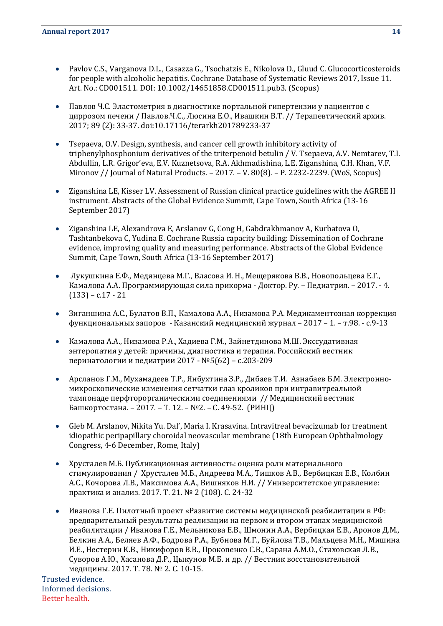- Pavlov C.S., Varganova D.L., Casazza G., Tsochatzis E., Nikolova D., Gluud C. Glucocorticosteroids for people with alcoholic hepatitis. Cochrane Database of Systematic Reviews 2017, Issue 11. Art. No.: CD001511. DOI: 10.1002/14651858.CD001511.pub3. (Scopus)
- Павлов Ч.С. Эластометрия в диагностике портальной гипертензии у пациентов с циррозом печени / Павлов.Ч.С., Люсина Е.О., Ивашкин В.Т. // Терапевтический архив. 2017; 89 (2): 33-37. doi:10.17116/terarkh201789233-37
- Tsepaeva, O.V. Design, synthesis, and cancer cell growth inhibitory activity of triphenylphosphonium derivatives of the triterpenoid betulin / V. Tsepaeva, A.V. Nemtarev, T.I. Abdullin, L.R. Grigor'eva, E.V. Kuznetsova, R.A. Akhmadishina, L.E. Ziganshina, C.H. Khan, V.F. Mironov // Journal of Natural Products. – 2017. – V. 80(8). – P. 2232-2239. (WoS, Scopus)
- Ziganshina LE, Kisser LV. Assessment of Russian clinical practice guidelines with the AGREE II instrument. Abstracts of the Global Evidence Summit, Cape Town, South Africa (13-16 September 2017)
- Ziganshina LE, Alexandrova E, Arslanov G, Cong H, Gabdrakhmanov A, Kurbatova O,  $\bullet$ Tashtanbekova C, Yudina E. Cochrane Russia capacity building: Dissemination of Cochrane evidence, improving quality and measuring performance. Abstracts of the Global Evidence Summit, Cape Town, South Africa (13-16 September 2017)
- Лукушкина Е.Ф., Медянцева М.Г., Власова И. Н., Мещерякова В.В., Новопольцева Е.Г.,  $\bullet$ Камалова А.А. Программирующая сила прикорма - Доктор. Ру. – Педиатрия. – 2017. - 4.  $(133) - c.17 - 21$
- Зиганшина А.С., Булатов В.П., Камалова А.А., Низамова Р.А. Медикаментозная коррекция  $\bullet$ функциональных запоров - Казанский медицинский журнал – 2017 – 1. – т.98. - с.9-13
- Камалова А.А., Низамова Р.А., Хадиева Г.М., Зайнетдинова М.Ш. Экссудативная  $\bullet$ энтеропатия у детей: причины, диагностика и терапия. Российский вестник перинатологии и педиатрии 2017 - №5(62) – с.203-209
- $\bullet$ Арсланов Г.М., Мухамадеев Т.Р., Янбухтина З.Р., Дибаев Т.И. Азнабаев Б.М. Электронномикроскопические изменения сетчатки глаз кроликов при интравитреальной тампонаде перфторорганическими соединениями // Медицинский вестник Башкортостана. – 2017. – Т. 12. – №2. – С. 49-52. (РИНЦ)
- Gleb M. Arslanov, Nikita Yu. Dal', Maria I. Krasavina. Intravitreal bevacizumab for treatment idiopathic peripapillary choroidal neovascular membrane (18th European Ophthalmology Congress, 4-6 December, Rome, Italy)
- $\bullet$ Хрусталев М.Б. Публикационная активность: оценка роли материального стимулирования / Хрусталев М.Б., Андреева М.А., Тишков А.В., Вербицкая Е.В., Колбин А.С., Кочорова Л.В., Максимова А.А., Вишняков Н.И. // Университетское управление: практика и анализ. 2017. Т. 21. № 2 (108). С. 24-32
- Иванова Г.Е. Пилотный проект «Развитие системы медицинской реабилитации в РФ: предварительный результаты реализации на первом и втором этапах медицинской реабилитации / Иванова Г.Е., Мельникова Е.В., Шмонин А.А., Вербицкая Е.В., Аронов Д.М., Белкин А.А., Беляев А.Ф., Бодрова Р.А., Бубнова М.Г., Буйлова Т.В., Мальцева М.Н., Мишина И.Е., Нестерин К.В., Никифоров В.В., Прокопенко С.В., Сарана А.М.О., Стаховская Л.В., Суворов А.Ю., Хасанова Д.Р., Цыкунов М.Б. и др. // Вестник восстановительной медицины. 2017. Т. 78. № 2. С. 10-15.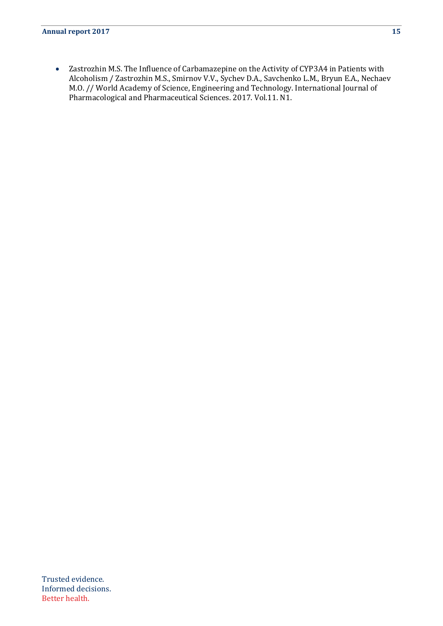Zastrozhin M.S. The Influence of Carbamazepine on the Activity of CYP3A4 in Patients with  $\bullet$  . Alcoholism / Zastrozhin M.S., Smirnov V.V., Sychev D.A., Savchenko L.M., Bryun E.A., Nechaev M.O. // World Academy of Science, Engineering and Technology. International Journal of Pharmacological and Pharmaceutical Sciences. 2017. Vol.11. N1.